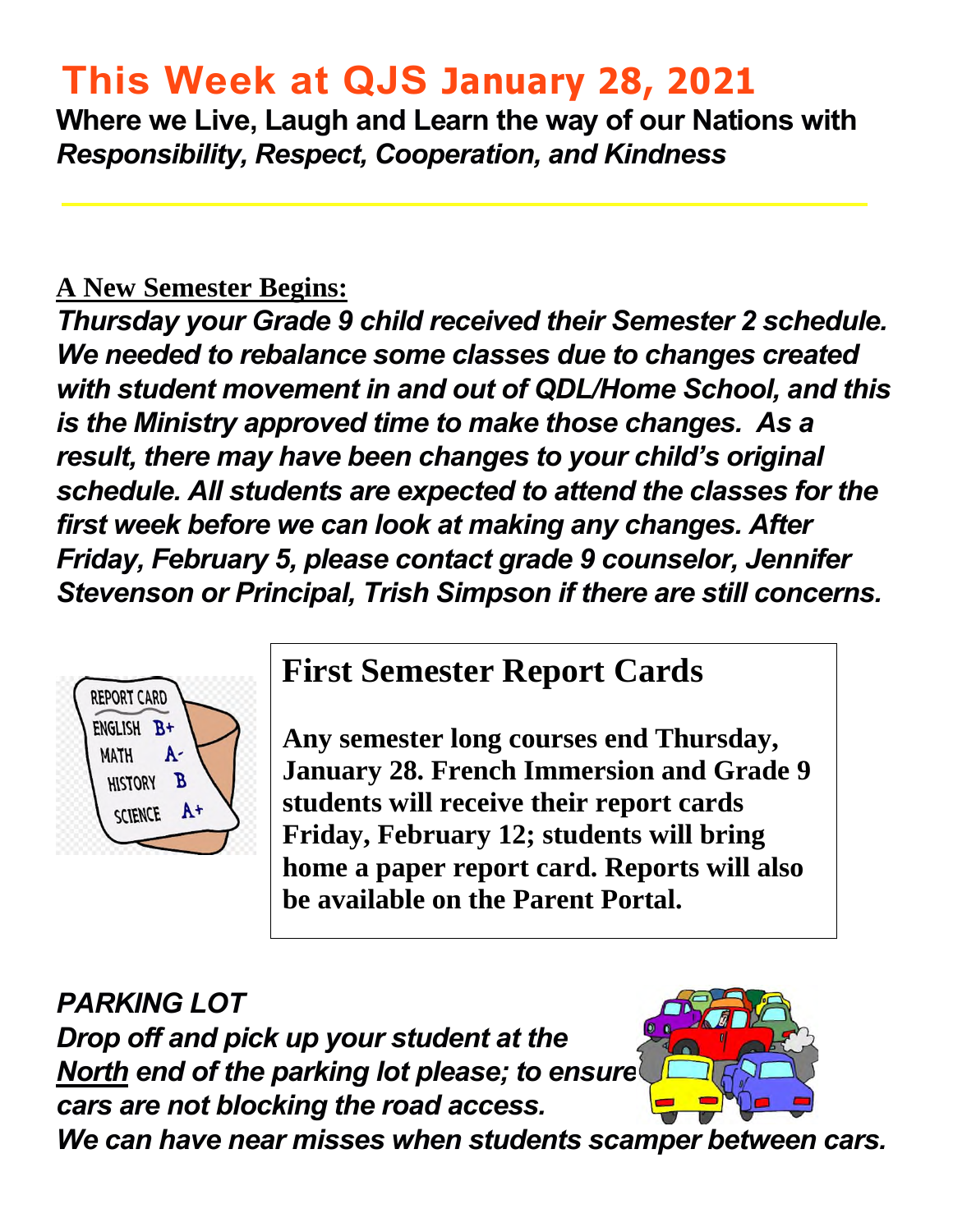# **This Week at QJS January 28, 2021**

**Where we Live, Laugh and Learn the way of our Nations with**  *Responsibility, Respect, Cooperation, and Kindness* 

#### **A New Semester Begins:**

*Thursday your Grade 9 child received their Semester 2 schedule. We needed to rebalance some classes due to changes created with student movement in and out of QDL/Home School, and this is the Ministry approved time to make those changes. As a result, there may have been changes to your child's original schedule. All students are expected to attend the classes for the first week before we can look at making any changes. After Friday, February 5, please contact grade 9 counselor, Jennifer Stevenson or Principal, Trish Simpson if there are still concerns.* 



### **First Semester Report Cards**

**Any semester long courses end Thursday, January 28. French Immersion and Grade 9 students will receive their report cards Friday, February 12; students will bring home a paper report card. Reports will also be available on the Parent Portal.** 

*PARKING LOT Drop off and pick up your student at the North end of the parking lot please; to ensure cars are not blocking the road access.* 



*We can have near misses when students scamper between cars.*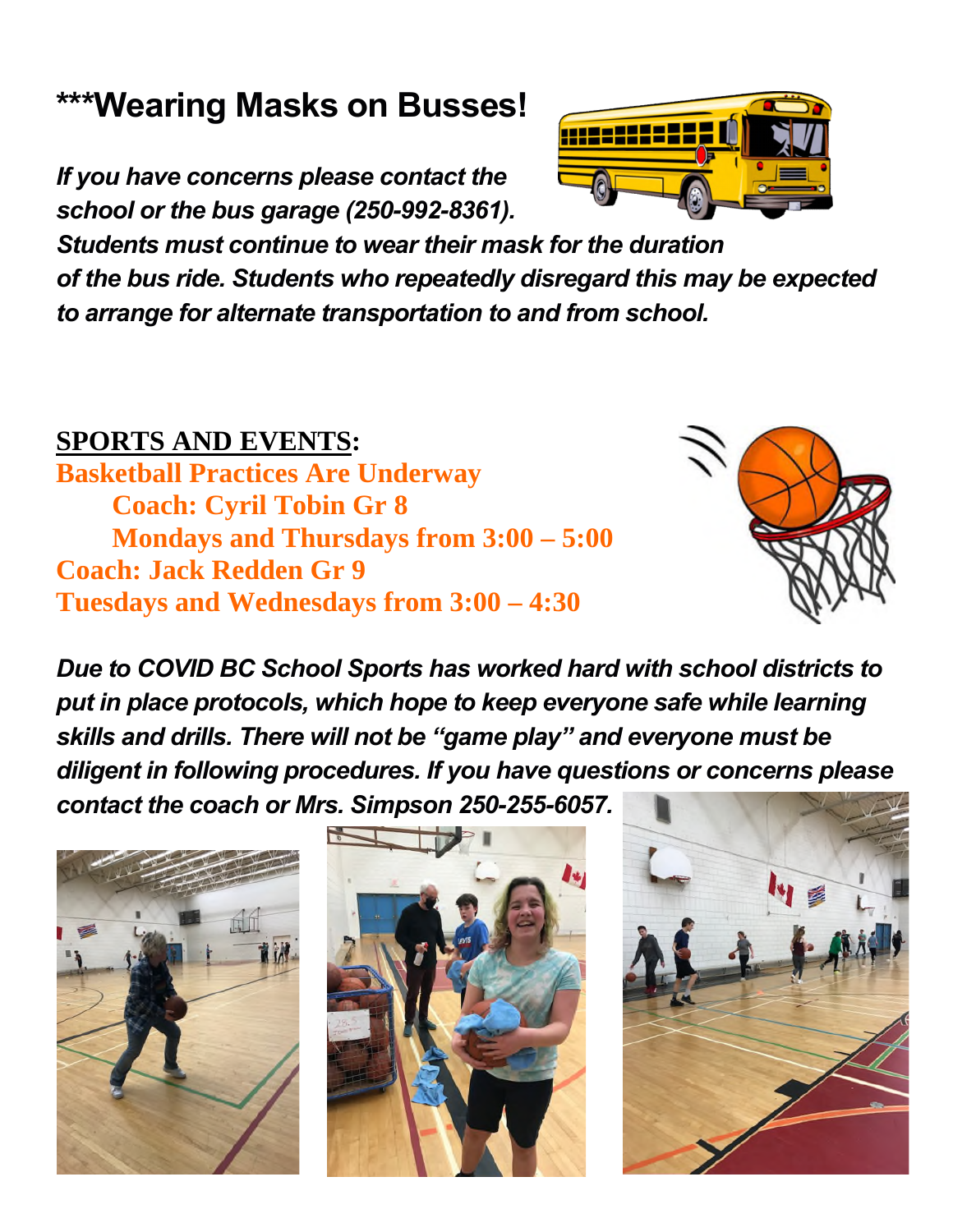### **\*\*\*Wearing Masks on Busses!**

*If you have concerns please contact the school or the bus garage (250-992-8361).* 

*Students must continue to wear their mask for the duration of the bus ride. Students who repeatedly disregard this may be expected to arrange for alternate transportation to and from school.*

### **SPORTS AND EVENTS:**

**Basketball Practices Are Underway Coach: Cyril Tobin Gr 8 Mondays and Thursdays from 3:00 – 5:00 Coach: Jack Redden Gr 9 Tuesdays and Wednesdays from 3:00 – 4:30** 









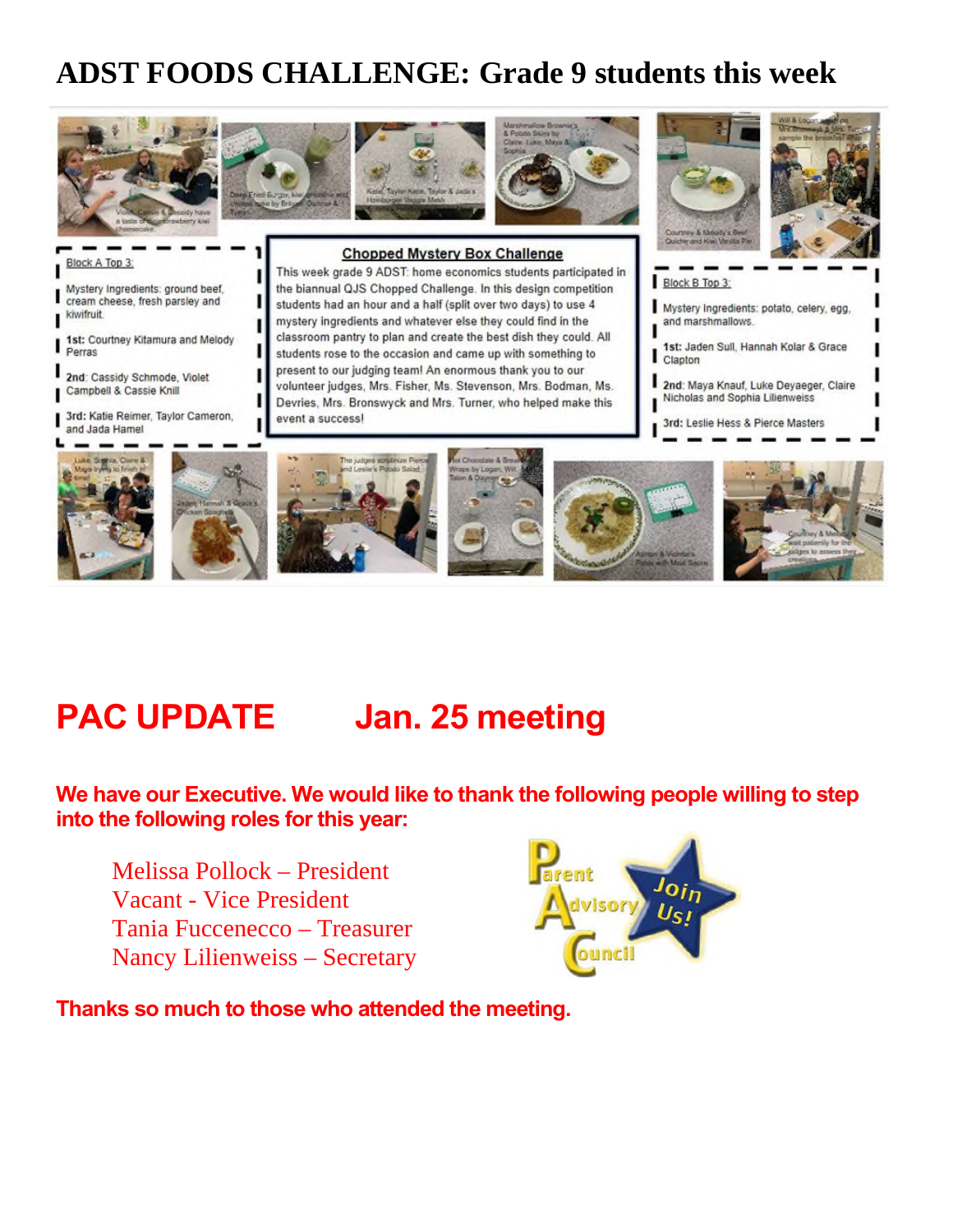### **ADST FOODS CHALLENGE: Grade 9 students this week**



## **PAC UPDATE** Jan. 25 meeting

**We have our Executive. We would like to thank the following people willing to step into the following roles for this year:** 

Melissa Pollock – President Vacant - Vice President Tania Fuccenecco – Treasurer Nancy Lilienweiss – Secretary



**Thanks so much to those who attended the meeting.**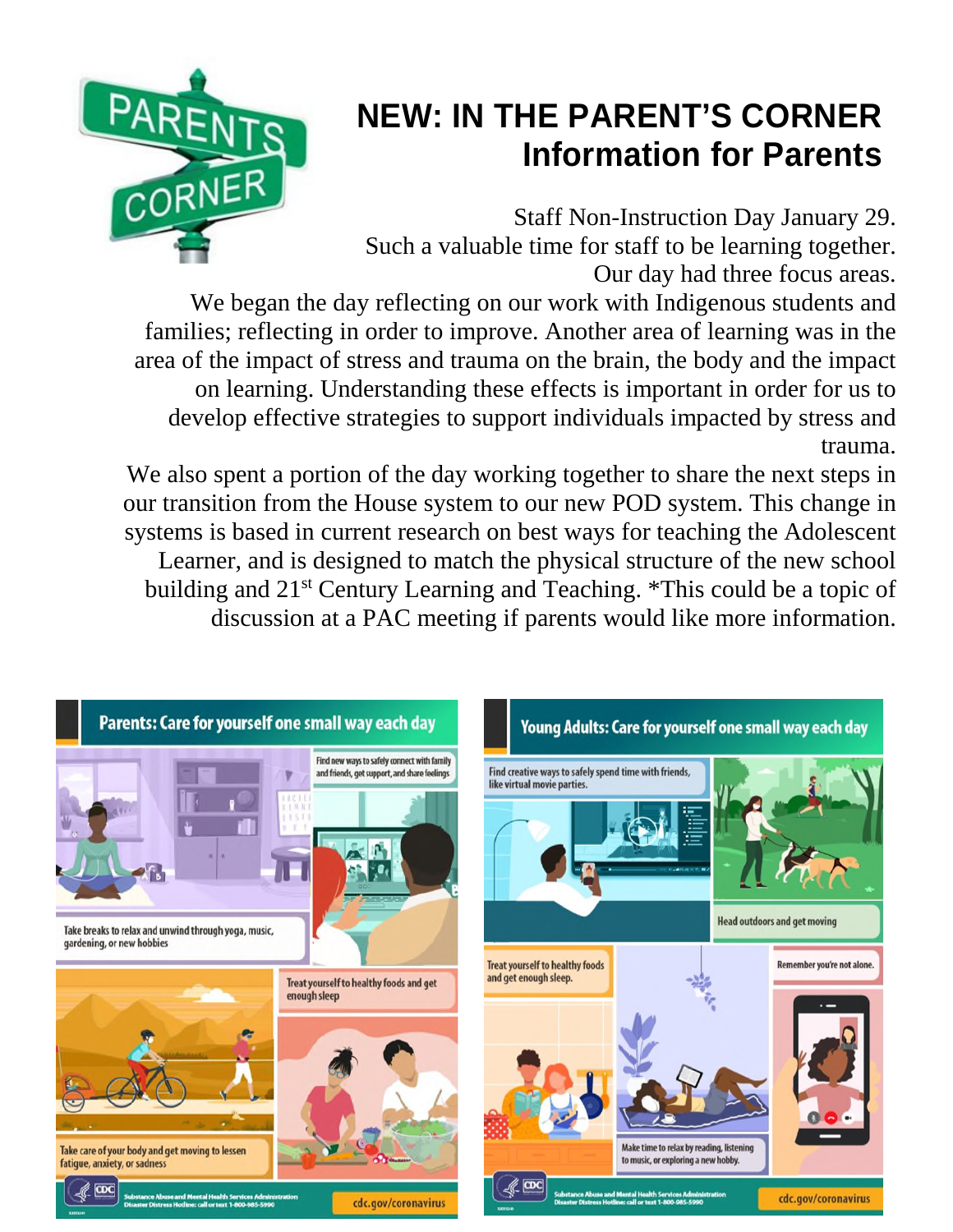

# **NEW: IN THE PARENT'S CORNER Information for Parents**

Staff Non-Instruction Day January 29. Such a valuable time for staff to be learning together. Our day had three focus areas.

We began the day reflecting on our work with Indigenous students and families; reflecting in order to improve. Another area of learning was in the area of the impact of stress and trauma on the brain, the body and the impact on learning. Understanding these effects is important in order for us to develop effective strategies to support individuals impacted by stress and trauma.

We also spent a portion of the day working together to share the next steps in our transition from the House system to our new POD system. This change in systems is based in current research on best ways for teaching the Adolescent Learner, and is designed to match the physical structure of the new school building and 21st Century Learning and Teaching. \*This could be a topic of discussion at a PAC meeting if parents would like more information.

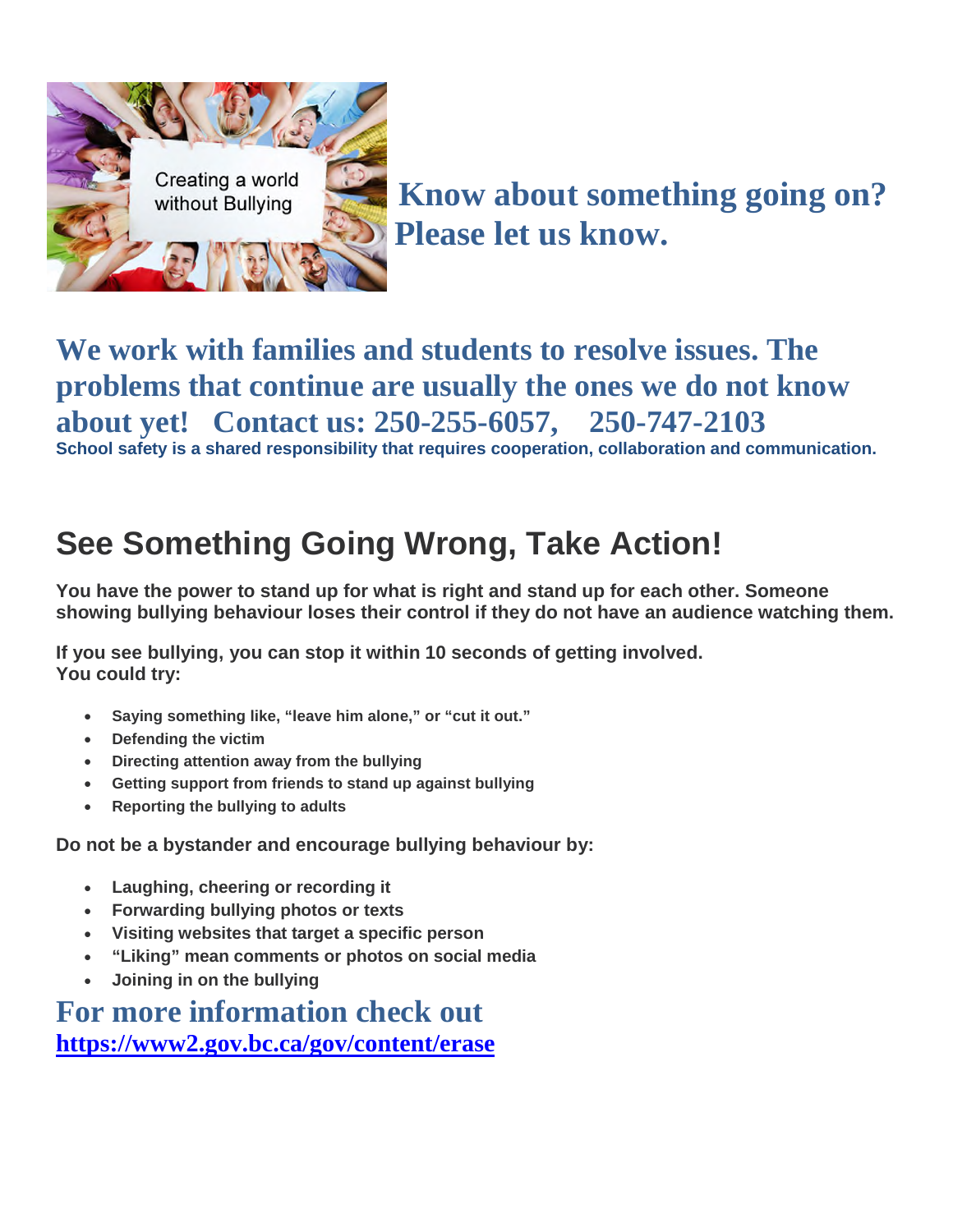

**We work with families and students to resolve issues. The problems that continue are usually the ones we do not know about yet! Contact us: 250-255-6057, 250-747-2103 School safety is a shared responsibility that requires cooperation, collaboration and communication.** 

# **See Something Going Wrong, Take Action!**

**You have the power to stand up for what is right and stand up for each other. Someone showing bullying behaviour loses their control if they do not have an audience watching them.** 

**If you see bullying, you can stop it within 10 seconds of getting involved. You could try:** 

- **Saying something like, "leave him alone," or "cut it out."**
- **Defending the victim**
- **Directing attention away from the bullying**
- **Getting support from friends to stand up against bullying**
- **Reporting the bullying to adults**

**Do not be a bystander and encourage bullying behaviour by:** 

- **Laughing, cheering or recording it**
- **Forwarding bullying photos or texts**
- **Visiting websites that target a specific person**
- **"Liking" mean comments or photos on social media**
- **Joining in on the bullying**

**For more information check out <https://www2.gov.bc.ca/gov/content/erase>**